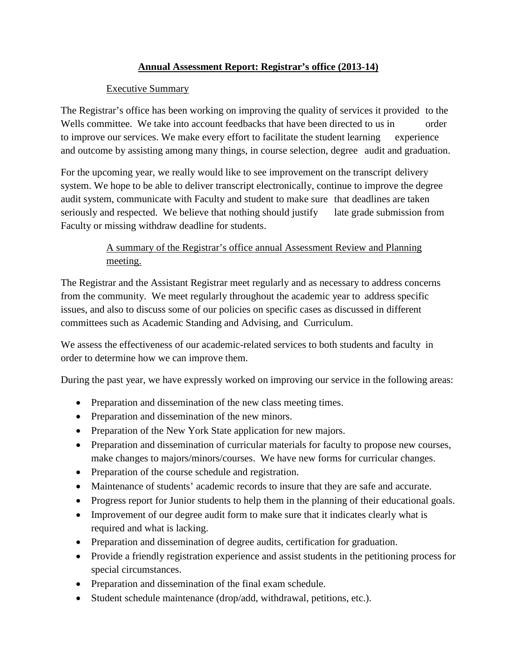## **Annual Assessment Report: Registrar's office (2013-14)**

### Executive Summary

The Registrar's office has been working on improving the quality of services it provided to the Wells committee. We take into account feedbacks that have been directed to us in order to improve our services. We make every effort to facilitate the student learning experience and outcome by assisting among many things, in course selection, degree audit and graduation.

For the upcoming year, we really would like to see improvement on the transcript delivery system. We hope to be able to deliver transcript electronically, continue to improve the degree audit system, communicate with Faculty and student to make sure that deadlines are taken seriously and respected. We believe that nothing should justify late grade submission from Faculty or missing withdraw deadline for students.

# A summary of the Registrar's office annual Assessment Review and Planning meeting.

The Registrar and the Assistant Registrar meet regularly and as necessary to address concerns from the community. We meet regularly throughout the academic year to address specific issues, and also to discuss some of our policies on specific cases as discussed in different committees such as Academic Standing and Advising, and Curriculum.

We assess the effectiveness of our academic-related services to both students and faculty in order to determine how we can improve them.

During the past year, we have expressly worked on improving our service in the following areas:

- Preparation and dissemination of the new class meeting times.
- Preparation and dissemination of the new minors.
- Preparation of the New York State application for new majors.
- Preparation and dissemination of curricular materials for faculty to propose new courses, make changes to majors/minors/courses. We have new forms for curricular changes.
- Preparation of the course schedule and registration.
- Maintenance of students' academic records to insure that they are safe and accurate.
- Progress report for Junior students to help them in the planning of their educational goals.
- Improvement of our degree audit form to make sure that it indicates clearly what is required and what is lacking.
- Preparation and dissemination of degree audits, certification for graduation.
- Provide a friendly registration experience and assist students in the petitioning process for special circumstances.
- Preparation and dissemination of the final exam schedule.
- Student schedule maintenance (drop/add, withdrawal, petitions, etc.).